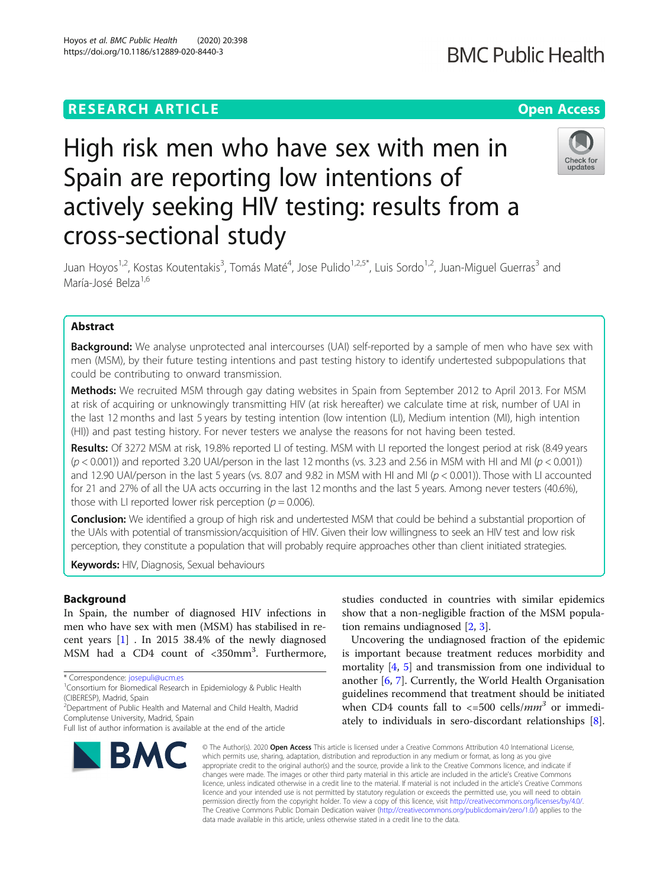# **RESEARCH ARTICLE Example 2014 12:30 The Contract of Contract ACCESS**

# High risk men who have sex with men in Spain are reporting low intentions of actively seeking HIV testing: results from a cross-sectional study

Juan Hoyos<sup>1,2</sup>, Kostas Koutentakis<sup>3</sup>, Tomás Maté<sup>4</sup>, Jose Pulido<sup>1,2,5\*</sup>, Luis Sordo<sup>1,2</sup>, Juan-Miguel Guerras<sup>3</sup> and María-José Belza<sup>1,6</sup>

# Abstract

**Background:** We analyse unprotected anal intercourses (UAI) self-reported by a sample of men who have sex with men (MSM), by their future testing intentions and past testing history to identify undertested subpopulations that could be contributing to onward transmission.

Methods: We recruited MSM through gay dating websites in Spain from September 2012 to April 2013. For MSM at risk of acquiring or unknowingly transmitting HIV (at risk hereafter) we calculate time at risk, number of UAI in the last 12 months and last 5 years by testing intention (low intention (LI), Medium intention (MI), high intention (HI)) and past testing history. For never testers we analyse the reasons for not having been tested.

Results: Of 3272 MSM at risk, 19.8% reported LI of testing. MSM with LI reported the longest period at risk (8.49 years  $(p < 0.001)$ ) and reported 3.20 UAI/person in the last 12 months (vs. 3.23 and 2.56 in MSM with HI and MI ( $p < 0.001$ )) and 12.90 UAI/person in the last 5 years (vs. 8.07 and 9.82 in MSM with HI and MI ( $p < 0.001$ )). Those with LI accounted for 21 and 27% of all the UA acts occurring in the last 12 months and the last 5 years. Among never testers (40.6%), those with LI reported lower risk perception ( $p = 0.006$ ).

**Conclusion:** We identified a group of high risk and undertested MSM that could be behind a substantial proportion of the UAIs with potential of transmission/acquisition of HIV. Given their low willingness to seek an HIV test and low risk perception, they constitute a population that will probably require approaches other than client initiated strategies.

Keywords: HIV, Diagnosis, Sexual behaviours

# **Background**

In Spain, the number of diagnosed HIV infections in men who have sex with men (MSM) has stabilised in recent years [[1\]](#page-7-0) . In 2015 38.4% of the newly diagnosed MSM had a CD4 count of <350mm<sup>3</sup>. Furthermore,

\* Correspondence: [josepuli@ucm.es](mailto:josepuli@ucm.es) <sup>1</sup>

2 Department of Public Health and Maternal and Child Health, Madrid Complutense University, Madrid, Spain

# studies conducted in countries with similar epidemics show that a non-negligible fraction of the MSM population remains undiagnosed [[2,](#page-7-0) [3\]](#page-7-0).

Uncovering the undiagnosed fraction of the epidemic is important because treatment reduces morbidity and mortality [[4,](#page-7-0) [5](#page-7-0)] and transmission from one individual to another [\[6](#page-7-0), [7](#page-7-0)]. Currently, the World Health Organisation guidelines recommend that treatment should be initiated when CD4 counts fall to  $\langle$ =500 cells/*mm*<sup>3</sup> or immediately to individuals in sero-discordant relationships [\[8](#page-7-0)].

© The Author(s), 2020 **Open Access** This article is licensed under a Creative Commons Attribution 4.0 International License, which permits use, sharing, adaptation, distribution and reproduction in any medium or format, as long as you give appropriate credit to the original author(s) and the source, provide a link to the Creative Commons licence, and indicate if changes were made. The images or other third party material in this article are included in the article's Creative Commons licence, unless indicated otherwise in a credit line to the material. If material is not included in the article's Creative Commons licence and your intended use is not permitted by statutory regulation or exceeds the permitted use, you will need to obtain permission directly from the copyright holder. To view a copy of this licence, visit [http://creativecommons.org/licenses/by/4.0/.](http://creativecommons.org/licenses/by/4.0/) The Creative Commons Public Domain Dedication waiver [\(http://creativecommons.org/publicdomain/zero/1.0/](http://creativecommons.org/publicdomain/zero/1.0/)) applies to the data made available in this article, unless otherwise stated in a credit line to the data.







<sup>&</sup>lt;sup>1</sup> Consortium for Biomedical Research in Epidemiology & Public Health (CIBERESP), Madrid, Spain

Full list of author information is available at the end of the article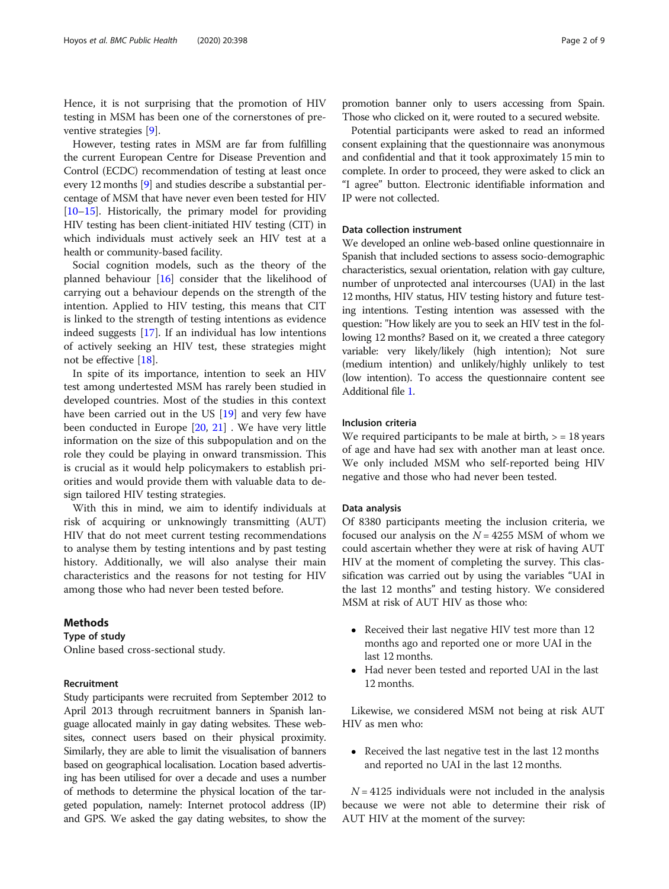Hence, it is not surprising that the promotion of HIV testing in MSM has been one of the cornerstones of preventive strategies [[9\]](#page-7-0).

However, testing rates in MSM are far from fulfilling the current European Centre for Disease Prevention and Control (ECDC) recommendation of testing at least once every 12 months [\[9\]](#page-7-0) and studies describe a substantial percentage of MSM that have never even been tested for HIV [[10](#page-7-0)–[15\]](#page-7-0). Historically, the primary model for providing HIV testing has been client-initiated HIV testing (CIT) in which individuals must actively seek an HIV test at a health or community-based facility.

Social cognition models, such as the theory of the planned behaviour [\[16](#page-7-0)] consider that the likelihood of carrying out a behaviour depends on the strength of the intention. Applied to HIV testing, this means that CIT is linked to the strength of testing intentions as evidence indeed suggests [\[17\]](#page-7-0). If an individual has low intentions of actively seeking an HIV test, these strategies might not be effective [\[18](#page-7-0)].

In spite of its importance, intention to seek an HIV test among undertested MSM has rarely been studied in developed countries. Most of the studies in this context have been carried out in the US [\[19](#page-7-0)] and very few have been conducted in Europe [\[20](#page-7-0), [21\]](#page-7-0) . We have very little information on the size of this subpopulation and on the role they could be playing in onward transmission. This is crucial as it would help policymakers to establish priorities and would provide them with valuable data to design tailored HIV testing strategies.

With this in mind, we aim to identify individuals at risk of acquiring or unknowingly transmitting (AUT) HIV that do not meet current testing recommendations to analyse them by testing intentions and by past testing history. Additionally, we will also analyse their main characteristics and the reasons for not testing for HIV among those who had never been tested before.

#### Methods

Type of study

Online based cross-sectional study.

#### Recruitment

Study participants were recruited from September 2012 to April 2013 through recruitment banners in Spanish language allocated mainly in gay dating websites. These websites, connect users based on their physical proximity. Similarly, they are able to limit the visualisation of banners based on geographical localisation. Location based advertising has been utilised for over a decade and uses a number of methods to determine the physical location of the targeted population, namely: Internet protocol address (IP) and GPS. We asked the gay dating websites, to show the promotion banner only to users accessing from Spain. Those who clicked on it, were routed to a secured website.

Potential participants were asked to read an informed consent explaining that the questionnaire was anonymous and confidential and that it took approximately 15 min to complete. In order to proceed, they were asked to click an "I agree" button. Electronic identifiable information and IP were not collected.

### Data collection instrument

We developed an online web-based online questionnaire in Spanish that included sections to assess socio-demographic characteristics, sexual orientation, relation with gay culture, number of unprotected anal intercourses (UAI) in the last 12 months, HIV status, HIV testing history and future testing intentions. Testing intention was assessed with the question: "How likely are you to seek an HIV test in the following 12 months? Based on it, we created a three category variable: very likely/likely (high intention); Not sure (medium intention) and unlikely/highly unlikely to test (low intention). To access the questionnaire content see Additional file [1.](#page-6-0)

#### Inclusion criteria

We required participants to be male at birth,  $>$  = 18 years of age and have had sex with another man at least once. We only included MSM who self-reported being HIV negative and those who had never been tested.

#### Data analysis

Of 8380 participants meeting the inclusion criteria, we focused our analysis on the  $N = 4255$  MSM of whom we could ascertain whether they were at risk of having AUT HIV at the moment of completing the survey. This classification was carried out by using the variables "UAI in the last 12 months" and testing history. We considered MSM at risk of AUT HIV as those who:

- Received their last negative HIV test more than 12 months ago and reported one or more UAI in the last 12 months.
- Had never been tested and reported UAI in the last 12 months.

Likewise, we considered MSM not being at risk AUT HIV as men who:

• Received the last negative test in the last 12 months and reported no UAI in the last 12 months.

 $N = 4125$  individuals were not included in the analysis because we were not able to determine their risk of AUT HIV at the moment of the survey: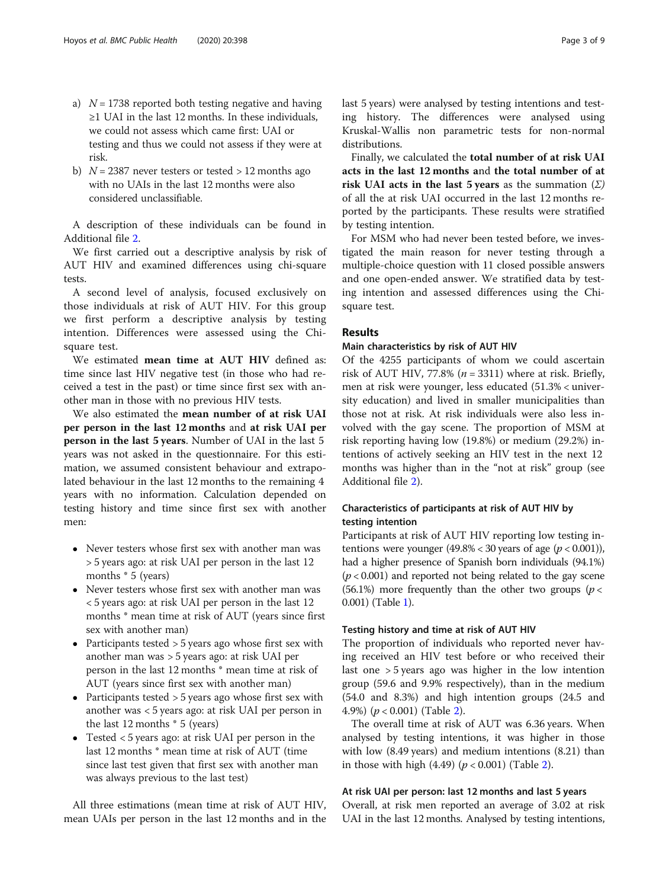- a)  $N = 1738$  reported both testing negative and having ≥1 UAI in the last 12 months. In these individuals, we could not assess which came first: UAI or testing and thus we could not assess if they were at risk.
- b)  $N = 2387$  never testers or tested  $> 12$  months ago with no UAIs in the last 12 months were also considered unclassifiable.

A description of these individuals can be found in Additional file [2](#page-6-0).

We first carried out a descriptive analysis by risk of AUT HIV and examined differences using chi-square tests.

A second level of analysis, focused exclusively on those individuals at risk of AUT HIV. For this group we first perform a descriptive analysis by testing intention. Differences were assessed using the Chisquare test.

We estimated mean time at AUT HIV defined as: time since last HIV negative test (in those who had received a test in the past) or time since first sex with another man in those with no previous HIV tests.

We also estimated the mean number of at risk UAI per person in the last 12 months and at risk UAI per person in the last 5 years. Number of UAI in the last 5 years was not asked in the questionnaire. For this estimation, we assumed consistent behaviour and extrapolated behaviour in the last 12 months to the remaining 4 years with no information. Calculation depended on testing history and time since first sex with another men:

- Never testers whose first sex with another man was > 5 years ago: at risk UAI per person in the last 12 months \* 5 (years)
- Never testers whose first sex with another man was < 5 years ago: at risk UAI per person in the last 12 months \* mean time at risk of AUT (years since first sex with another man)
- Participants tested > 5 years ago whose first sex with another man was > 5 years ago: at risk UAI per person in the last 12 months \* mean time at risk of AUT (years since first sex with another man)
- Participants tested > 5 years ago whose first sex with another was < 5 years ago: at risk UAI per person in the last 12 months \* 5 (years)
- Tested < 5 years ago: at risk UAI per person in the last 12 months \* mean time at risk of AUT (time since last test given that first sex with another man was always previous to the last test)

All three estimations (mean time at risk of AUT HIV, mean UAIs per person in the last 12 months and in the last 5 years) were analysed by testing intentions and testing history. The differences were analysed using Kruskal-Wallis non parametric tests for non-normal distributions.

Finally, we calculated the total number of at risk UAI acts in the last 12 months and the total number of at risk UAI acts in the last 5 years as the summation  $(\Sigma)$ of all the at risk UAI occurred in the last 12 months reported by the participants. These results were stratified by testing intention.

For MSM who had never been tested before, we investigated the main reason for never testing through a multiple-choice question with 11 closed possible answers and one open-ended answer. We stratified data by testing intention and assessed differences using the Chisquare test.

#### Results

#### Main characteristics by risk of AUT HIV

Of the 4255 participants of whom we could ascertain risk of AUT HIV, 77.8% ( $n = 3311$ ) where at risk. Briefly, men at risk were younger, less educated (51.3% < university education) and lived in smaller municipalities than those not at risk. At risk individuals were also less involved with the gay scene. The proportion of MSM at risk reporting having low (19.8%) or medium (29.2%) intentions of actively seeking an HIV test in the next 12 months was higher than in the "not at risk" group (see Additional file [2](#page-6-0)).

## Characteristics of participants at risk of AUT HIV by testing intention

Participants at risk of AUT HIV reporting low testing intentions were younger  $(49.8\% < 30$  years of age  $(p < 0.001)$ ), had a higher presence of Spanish born individuals (94.1%)  $(p < 0.001)$  and reported not being related to the gay scene (56.1%) more frequently than the other two groups ( $p <$ 0.001) (Table [1\)](#page-3-0).

#### Testing history and time at risk of AUT HIV

The proportion of individuals who reported never having received an HIV test before or who received their last one > 5 years ago was higher in the low intention group (59.6 and 9.9% respectively), than in the medium (54.0 and 8.3%) and high intention groups (24.5 and 4.9%)  $(p < 0.001)$  (Table [2](#page-4-0)).

The overall time at risk of AUT was 6.36 years. When analysed by testing intentions, it was higher in those with low (8.49 years) and medium intentions (8.21) than in those with high  $(4.49)$   $(p < 0.001)$  (Table [2\)](#page-4-0).

#### At risk UAI per person: last 12 months and last 5 years

Overall, at risk men reported an average of 3.02 at risk UAI in the last 12 months. Analysed by testing intentions,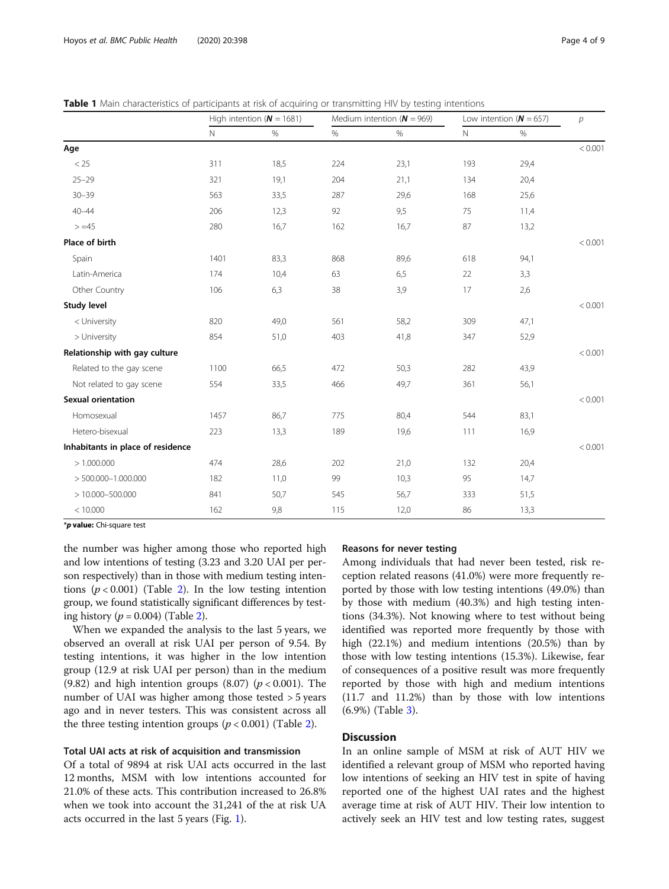|                               | High intention ( $N = 1681$ ) |      |     | Medium intention $(N = 969)$ | Low intention ( $N = 657$ ) | р    |         |  |
|-------------------------------|-------------------------------|------|-----|------------------------------|-----------------------------|------|---------|--|
|                               | $\mathbb N$                   | $\%$ | %   | $\%$                         | Ν                           | %    |         |  |
| Age                           |                               |      |     |                              |                             |      | < 0.001 |  |
| < 25                          | 311                           | 18,5 | 224 | 23,1                         | 193                         | 29,4 |         |  |
| $25 - 29$                     | 321                           | 19,1 | 204 | 21,1                         | 134                         | 20,4 |         |  |
| $30 - 39$                     | 563                           | 33,5 | 287 | 29,6                         | 168                         | 25,6 |         |  |
| $40 - 44$                     | 206                           | 12,3 | 92  | 9,5                          | 75                          | 11,4 |         |  |
| $> = 45$                      | 280                           | 16,7 | 162 | 16,7                         | 87                          | 13,2 |         |  |
| Place of birth                |                               |      |     |                              |                             |      | < 0.001 |  |
| Spain                         | 1401                          | 83,3 | 868 | 89,6                         | 618                         | 94,1 |         |  |
| Latin-America                 | 174                           | 10,4 | 63  | 6,5                          | 22                          | 3,3  |         |  |
| Other Country                 | 106                           | 6,3  | 38  | 3,9                          | 17                          | 2,6  |         |  |
| Study level                   |                               |      |     |                              |                             |      | < 0.001 |  |
| < University                  | 820                           | 49,0 | 561 | 58,2                         | 309                         | 47,1 |         |  |
| > University                  | 854                           | 51,0 | 403 | 41,8                         | 347                         | 52,9 |         |  |
| Relationship with gay culture |                               |      |     |                              |                             |      | < 0.001 |  |
| Related to the gay scene      | 1100                          | 66,5 | 472 | 50,3                         | 282                         | 43,9 |         |  |
| Not related to gay scene      | 554                           | 33,5 | 466 | 49,7                         | 361                         | 56,1 |         |  |
| <b>Sexual orientation</b>     |                               |      |     |                              |                             |      | < 0.001 |  |
| Homosexual                    | 1457                          | 86,7 | 775 | 80,4                         | 544                         | 83,1 |         |  |
| Hetero-bisexual               | 223                           | 13,3 | 189 | 19,6                         | 111                         | 16,9 |         |  |

Inhabitants in place of residence and the contract of the contract of the contract of the contract of the contract of the contract of the contract of the contract of the contract of the contract of the contract of the cont

> 1.000.000 474 28,6 202 21,0 132 20,4 > 500.000–1.000.000 182 11,0 99 10,3 95 14,7 > 10.000–500.000 841 50,7 545 56,7 333 51,5 < 10.000 162 9,8 115 12,0 86 13,3

<span id="page-3-0"></span>

\*p value: Chi-square test

the number was higher among those who reported high and low intentions of testing (3.23 and 3.20 UAI per person respectively) than in those with medium testing intentions ( $p < 0.001$ ) (Table [2\)](#page-4-0). In the low testing intention group, we found statistically significant differences by testing history ( $p = 0.004$ ) (Table [2\)](#page-4-0).

When we expanded the analysis to the last 5 years, we observed an overall at risk UAI per person of 9.54. By testing intentions, it was higher in the low intention group (12.9 at risk UAI per person) than in the medium (9.82) and high intention groups  $(8.07)$  ( $p < 0.001$ ). The number of UAI was higher among those tested > 5 years ago and in never testers. This was consistent across all the three testing intention groups ( $p < 0.001$ ) (Table [2\)](#page-4-0).

#### Total UAI acts at risk of acquisition and transmission

Of a total of 9894 at risk UAI acts occurred in the last 12 months, MSM with low intentions accounted for 21.0% of these acts. This contribution increased to 26.8% when we took into account the 31,241 of the at risk UA acts occurred in the last 5 years (Fig. [1](#page-5-0)).

#### Reasons for never testing

Among individuals that had never been tested, risk reception related reasons (41.0%) were more frequently reported by those with low testing intentions (49.0%) than by those with medium (40.3%) and high testing intentions (34.3%). Not knowing where to test without being identified was reported more frequently by those with high (22.1%) and medium intentions (20.5%) than by those with low testing intentions (15.3%). Likewise, fear of consequences of a positive result was more frequently reported by those with high and medium intentions (11.7 and 11.2%) than by those with low intentions (6.9%) (Table [3\)](#page-5-0).

#### **Discussion**

In an online sample of MSM at risk of AUT HIV we identified a relevant group of MSM who reported having low intentions of seeking an HIV test in spite of having reported one of the highest UAI rates and the highest average time at risk of AUT HIV. Their low intention to actively seek an HIV test and low testing rates, suggest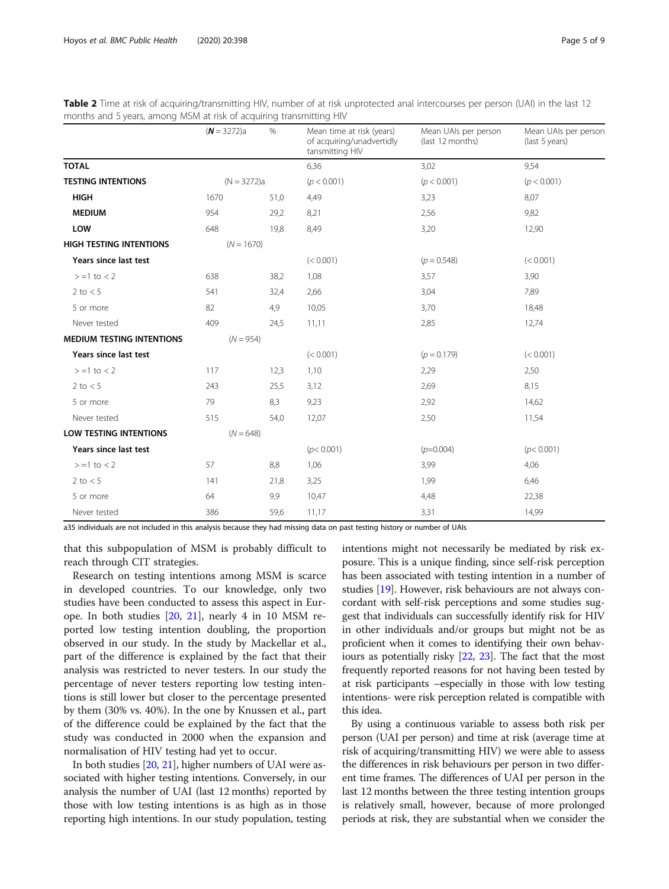|                                  | $(N = 3272)a$ | $\%$ | Mean time at risk (years)<br>of acquiring/unadvertidly<br>tansmitting HIV | Mean UAIs per person<br>(last 12 months) | Mean UAIs per person<br>(last 5 years) |
|----------------------------------|---------------|------|---------------------------------------------------------------------------|------------------------------------------|----------------------------------------|
| <b>TOTAL</b>                     |               |      | 6,36                                                                      | 3,02                                     | 9,54                                   |
| <b>TESTING INTENTIONS</b>        | $(N = 3272)a$ |      | (p < 0.001)                                                               | (p < 0.001)                              | (p < 0.001)                            |
| <b>HIGH</b>                      | 1670          | 51,0 | 4,49                                                                      | 3,23                                     | 8,07                                   |
| <b>MEDIUM</b>                    | 954           | 29,2 | 8,21                                                                      | 2,56                                     | 9,82                                   |
| LOW                              | 648           | 19,8 | 8,49                                                                      | 3,20                                     | 12,90                                  |
| <b>HIGH TESTING INTENTIONS</b>   | $(N = 1670)$  |      |                                                                           |                                          |                                        |
| Years since last test            |               |      | (< 0.001)                                                                 | $(p = 0.548)$                            | (< 0.001)                              |
| $> = 1$ to $< 2$                 | 638           | 38,2 | 1,08                                                                      | 3,57                                     | 3,90                                   |
| 2 to $< 5$                       | 541           | 32,4 | 2,66                                                                      | 3,04                                     | 7,89                                   |
| 5 or more                        | 82            | 4,9  | 10,05                                                                     | 3,70                                     | 18,48                                  |
| Never tested                     | 409           | 24,5 | 11,11                                                                     | 2,85                                     | 12,74                                  |
| <b>MEDIUM TESTING INTENTIONS</b> | $(N = 954)$   |      |                                                                           |                                          |                                        |
| Years since last test            |               |      | (< 0.001)                                                                 | $(p = 0.179)$                            | (< 0.001)                              |
| $> = 1$ to $< 2$                 | 117           | 12,3 | 1,10                                                                      | 2,29                                     | 2,50                                   |
| 2 to $< 5$                       | 243           | 25,5 | 3,12                                                                      | 2,69                                     | 8,15                                   |
| 5 or more                        | 79            | 8,3  | 9,23                                                                      | 2,92                                     | 14,62                                  |
| Never tested                     | 515           | 54,0 | 12,07                                                                     | 2,50                                     | 11,54                                  |
| <b>LOW TESTING INTENTIONS</b>    | $(N = 648)$   |      |                                                                           |                                          |                                        |
| Years since last test            |               |      | (p < 0.001)                                                               | $(p=0.004)$                              | (p < 0.001)                            |
| $> = 1$ to $< 2$                 | 57            | 8,8  | 1,06                                                                      | 3,99                                     | 4,06                                   |
| 2 to $< 5$                       | 141           | 21,8 | 3,25                                                                      | 1,99                                     | 6,46                                   |
| 5 or more                        | 64            | 9,9  | 10,47                                                                     | 4,48                                     | 22,38                                  |
| Never tested                     | 386           | 59,6 | 11,17                                                                     | 3,31                                     | 14,99                                  |

<span id="page-4-0"></span>

|  |  | Table 2 Time at risk of acquiring/transmitting HIV, number of at risk unprotected anal intercourses per person (UAI) in the last 12 |  |  |  |  |  |  |
|--|--|-------------------------------------------------------------------------------------------------------------------------------------|--|--|--|--|--|--|
|  |  | months and 5 years, among MSM at risk of acquiring transmitting HIV                                                                 |  |  |  |  |  |  |

a35 individuals are not included in this analysis because they had missing data on past testing history or number of UAIs

that this subpopulation of MSM is probably difficult to reach through CIT strategies.

Research on testing intentions among MSM is scarce in developed countries. To our knowledge, only two studies have been conducted to assess this aspect in Europe. In both studies [\[20,](#page-7-0) [21](#page-7-0)], nearly 4 in 10 MSM reported low testing intention doubling, the proportion observed in our study. In the study by Mackellar et al., part of the difference is explained by the fact that their analysis was restricted to never testers. In our study the percentage of never testers reporting low testing intentions is still lower but closer to the percentage presented by them (30% vs. 40%). In the one by Knussen et al., part of the difference could be explained by the fact that the study was conducted in 2000 when the expansion and normalisation of HIV testing had yet to occur.

In both studies [\[20,](#page-7-0) [21\]](#page-7-0), higher numbers of UAI were associated with higher testing intentions. Conversely, in our analysis the number of UAI (last 12 months) reported by those with low testing intentions is as high as in those reporting high intentions. In our study population, testing intentions might not necessarily be mediated by risk exposure. This is a unique finding, since self-risk perception has been associated with testing intention in a number of studies [\[19\]](#page-7-0). However, risk behaviours are not always concordant with self-risk perceptions and some studies suggest that individuals can successfully identify risk for HIV in other individuals and/or groups but might not be as proficient when it comes to identifying their own behaviours as potentially risky [\[22,](#page-7-0) [23](#page-7-0)]. The fact that the most frequently reported reasons for not having been tested by at risk participants –especially in those with low testing intentions- were risk perception related is compatible with this idea.

By using a continuous variable to assess both risk per person (UAI per person) and time at risk (average time at risk of acquiring/transmitting HIV) we were able to assess the differences in risk behaviours per person in two different time frames. The differences of UAI per person in the last 12 months between the three testing intention groups is relatively small, however, because of more prolonged periods at risk, they are substantial when we consider the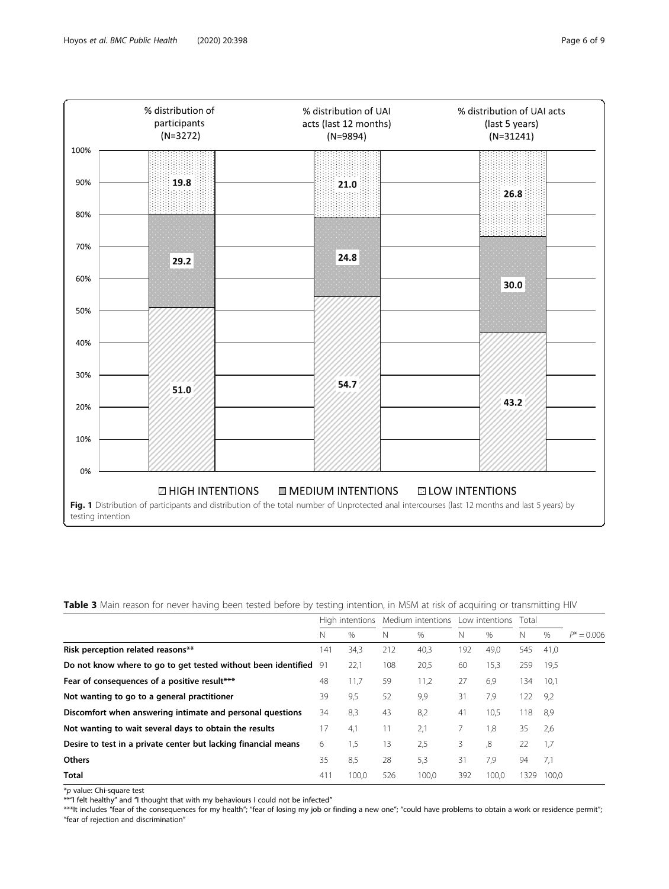<span id="page-5-0"></span>

Table 3 Main reason for never having been tested before by testing intention, in MSM at risk of acquiring or transmitting HIV

|                                                                  | High intentions |       | Medium intentions |       | Low intentions Total |       |      |               |               |
|------------------------------------------------------------------|-----------------|-------|-------------------|-------|----------------------|-------|------|---------------|---------------|
|                                                                  | N               | $\%$  | N                 | $\%$  | N                    | $\%$  | N    | $\frac{0}{0}$ | $P^* = 0.006$ |
| Risk perception related reasons**                                | 141             | 34,3  | 212               | 40,3  | 192                  | 49,0  | 545  | 41.0          |               |
| Do not know where to go to get tested without been identified 91 |                 | 22,1  | 108               | 20,5  | 60                   | 15,3  | 259  | 19,5          |               |
| Fear of consequences of a positive result***                     | 48              | 11,7  | 59                | 11,2  | 27                   | 6.9   | 134  | 10,1          |               |
| Not wanting to go to a general practitioner                      | 39              | 9,5   | 52                | 9,9   | 31                   | 7,9   | 122  | 9,2           |               |
| Discomfort when answering intimate and personal questions        | 34              | 8,3   | 43                | 8,2   | 41                   | 10,5  | 118  | -8,9          |               |
| Not wanting to wait several days to obtain the results           | 17              | 4,1   | 11                | 2,1   |                      | 1,8   | 35   | 2,6           |               |
| Desire to test in a private center but lacking financial means   | 6               | 1,5   | 13                | 2,5   | 3                    | 8,    | 22   | 1,7           |               |
| <b>Others</b>                                                    | 35              | 8,5   | 28                | 5,3   | 31                   | 7.9   | 94   | 7,1           |               |
| <b>Total</b>                                                     | 411             | 100,0 | 526               | 100.0 | 392                  | 100.0 | 1329 | 100.0         |               |

\*p value: Chi-square test

\*\*"I felt healthy" and "I thought that with my behaviours I could not be infected"

\*\*\*It includes "fear of the consequences for my health"; "fear of losing my job or finding a new one"; "could have problems to obtain a work or residence permit"; "fear of rejection and discrimination"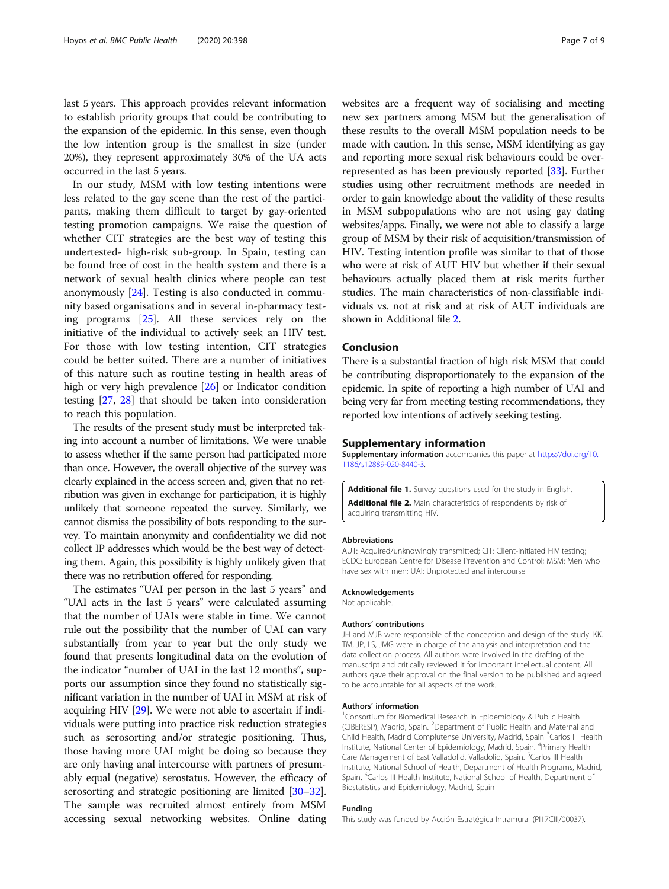<span id="page-6-0"></span>last 5 years. This approach provides relevant information to establish priority groups that could be contributing to the expansion of the epidemic. In this sense, even though the low intention group is the smallest in size (under 20%), they represent approximately 30% of the UA acts occurred in the last 5 years.

In our study, MSM with low testing intentions were less related to the gay scene than the rest of the participants, making them difficult to target by gay-oriented testing promotion campaigns. We raise the question of whether CIT strategies are the best way of testing this undertested- high-risk sub-group. In Spain, testing can be found free of cost in the health system and there is a network of sexual health clinics where people can test anonymously [\[24](#page-7-0)]. Testing is also conducted in community based organisations and in several in-pharmacy testing programs [[25](#page-7-0)]. All these services rely on the initiative of the individual to actively seek an HIV test. For those with low testing intention, CIT strategies could be better suited. There are a number of initiatives of this nature such as routine testing in health areas of high or very high prevalence [\[26\]](#page-7-0) or Indicator condition testing [\[27,](#page-7-0) [28\]](#page-7-0) that should be taken into consideration to reach this population.

The results of the present study must be interpreted taking into account a number of limitations. We were unable to assess whether if the same person had participated more than once. However, the overall objective of the survey was clearly explained in the access screen and, given that no retribution was given in exchange for participation, it is highly unlikely that someone repeated the survey. Similarly, we cannot dismiss the possibility of bots responding to the survey. To maintain anonymity and confidentiality we did not collect IP addresses which would be the best way of detecting them. Again, this possibility is highly unlikely given that there was no retribution offered for responding.

The estimates "UAI per person in the last 5 years" and "UAI acts in the last 5 years" were calculated assuming that the number of UAIs were stable in time. We cannot rule out the possibility that the number of UAI can vary substantially from year to year but the only study we found that presents longitudinal data on the evolution of the indicator "number of UAI in the last 12 months", supports our assumption since they found no statistically significant variation in the number of UAI in MSM at risk of acquiring HIV [[29](#page-7-0)]. We were not able to ascertain if individuals were putting into practice risk reduction strategies such as serosorting and/or strategic positioning. Thus, those having more UAI might be doing so because they are only having anal intercourse with partners of presumably equal (negative) serostatus. However, the efficacy of serosorting and strategic positioning are limited [\[30](#page-7-0)–[32](#page-8-0)]. The sample was recruited almost entirely from MSM accessing sexual networking websites. Online dating

websites are a frequent way of socialising and meeting new sex partners among MSM but the generalisation of these results to the overall MSM population needs to be made with caution. In this sense, MSM identifying as gay and reporting more sexual risk behaviours could be overrepresented as has been previously reported [\[33\]](#page-8-0). Further studies using other recruitment methods are needed in order to gain knowledge about the validity of these results in MSM subpopulations who are not using gay dating websites/apps. Finally, we were not able to classify a large group of MSM by their risk of acquisition/transmission of HIV. Testing intention profile was similar to that of those who were at risk of AUT HIV but whether if their sexual behaviours actually placed them at risk merits further studies. The main characteristics of non-classifiable individuals vs. not at risk and at risk of AUT individuals are shown in Additional file 2.

#### Conclusion

There is a substantial fraction of high risk MSM that could be contributing disproportionately to the expansion of the epidemic. In spite of reporting a high number of UAI and being very far from meeting testing recommendations, they reported low intentions of actively seeking testing.

#### Supplementary information

Supplementary information accompanies this paper at [https://doi.org/10.](https://doi.org/10.1186/s12889-020-8440-3) [1186/s12889-020-8440-3.](https://doi.org/10.1186/s12889-020-8440-3)

Additional file 1. Survey questions used for the study in English. Additional file 2. Main characteristics of respondents by risk of acquiring transmitting HIV.

#### Abbreviations

AUT: Acquired/unknowingly transmitted; CIT: Client-initiated HIV testing; ECDC: European Centre for Disease Prevention and Control; MSM: Men who have sex with men; UAI: Unprotected anal intercourse

#### Acknowledgements

Not applicable.

#### Authors' contributions

JH and MJB were responsible of the conception and design of the study. KK, TM, JP, LS, JMG were in charge of the analysis and interpretation and the data collection process. All authors were involved in the drafting of the manuscript and critically reviewed it for important intellectual content. All authors gave their approval on the final version to be published and agreed to be accountable for all aspects of the work.

#### Authors' information <sup>1</sup>

Consortium for Biomedical Research in Epidemiology & Public Health (CIBERESP), Madrid, Spain. <sup>2</sup>Department of Public Health and Maternal and Child Health, Madrid Complutense University, Madrid, Spain <sup>3</sup>Carlos III Health Institute, National Center of Epidemiology, Madrid, Spain. <sup>4</sup>Primary Health Care Management of East Valladolid, Valladolid, Spain. <sup>5</sup>Carlos III Health Institute, National School of Health, Department of Health Programs, Madrid, Spain. <sup>6</sup>Carlos III Health Institute, National School of Health, Department of Biostatistics and Epidemiology, Madrid, Spain

#### Funding

This study was funded by Acción Estratégica Intramural (PI17CIII/00037).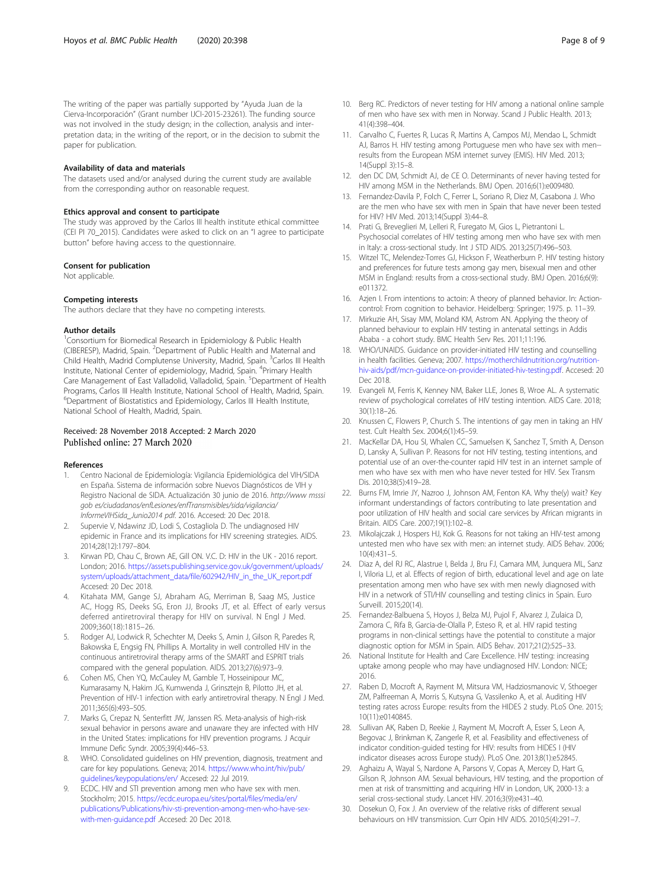<span id="page-7-0"></span>The writing of the paper was partially supported by "Ayuda Juan de la Cierva-Incorporación" (Grant number IJCI-2015-23261). The funding source was not involved in the study design; in the collection, analysis and interpretation data; in the writing of the report, or in the decision to submit the paper for publication.

#### Availability of data and materials

The datasets used and/or analysed during the current study are available from the corresponding author on reasonable request.

#### Ethics approval and consent to participate

The study was approved by the Carlos III health institute ethical committee (CEI PI 70\_2015). Candidates were asked to click on an "I agree to participate button" before having access to the questionnaire.

#### Consent for publication

Not applicable.

#### Competing interests

The authors declare that they have no competing interests.

#### Author details

<sup>1</sup> Consortium for Biomedical Research in Epidemiology & Public Health (CIBERESP), Madrid, Spain. <sup>2</sup>Department of Public Health and Maternal and Child Health, Madrid Complutense University, Madrid, Spain. <sup>3</sup>Carlos III Health Institute, National Center of epidemiology, Madrid, Spain. <sup>4</sup>Primary Health Care Management of East Valladolid, Valladolid, Spain. <sup>5</sup>Department of Health Programs, Carlos III Health Institute, National School of Health, Madrid, Spain. 6 Department of Biostatistics and Epidemiology, Carlos III Health Institute, National School of Health, Madrid, Spain.

#### Received: 28 November 2018 Accepted: 2 March 2020 Published online: 27 March 2020

#### References

- 1. Centro Nacional de Epidemiología: Vigilancia Epidemiológica del VIH/SIDA en España. Sistema de información sobre Nuevos Diagnósticos de VIH y Registro Nacional de SIDA. Actualización 30 junio de 2016. http://www msssi gob es/ciudadanos/enfLesiones/enfTransmisibles/sida/vigilancia/ InformeVIHSida\_Junio2014 pdf. 2016. Accesed: 20 Dec 2018.
- 2. Supervie V, Ndawinz JD, Lodi S, Costagliola D. The undiagnosed HIV epidemic in France and its implications for HIV screening strategies. AIDS. 2014;28(12):1797–804.
- Kirwan PD, Chau C, Brown AE, Gill ON. V.C. D: HIV in the UK 2016 report. London; 2016. [https://assets.publishing.service.gov.uk/government/uploads/](https://assets.publishing.service.gov.uk/government/uploads/system/uploads/attachment_data/file/602942/HIV_in_the_UK_report.pdf) [system/uploads/attachment\\_data/file/602942/HIV\\_in\\_the\\_UK\\_report.pdf](https://assets.publishing.service.gov.uk/government/uploads/system/uploads/attachment_data/file/602942/HIV_in_the_UK_report.pdf) Accesed: 20 Dec 2018.
- 4. Kitahata MM, Gange SJ, Abraham AG, Merriman B, Saag MS, Justice AC, Hogg RS, Deeks SG, Eron JJ, Brooks JT, et al. Effect of early versus deferred antiretroviral therapy for HIV on survival. N Engl J Med. 2009;360(18):1815–26.
- Rodger AJ, Lodwick R, Schechter M, Deeks S, Amin J, Gilson R, Paredes R, Bakowska E, Engsig FN, Phillips A. Mortality in well controlled HIV in the continuous antiretroviral therapy arms of the SMART and ESPRIT trials compared with the general population. AIDS. 2013;27(6):973–9.
- 6. Cohen MS, Chen YQ, McCauley M, Gamble T, Hosseinipour MC, Kumarasamy N, Hakim JG, Kumwenda J, Grinsztejn B, Pilotto JH, et al. Prevention of HIV-1 infection with early antiretroviral therapy. N Engl J Med. 2011;365(6):493–505.
- 7. Marks G, Crepaz N, Senterfitt JW, Janssen RS. Meta-analysis of high-risk sexual behavior in persons aware and unaware they are infected with HIV in the United States: implications for HIV prevention programs. J Acquir Immune Defic Syndr. 2005;39(4):446–53.
- 8. WHO. Consolidated guidelines on HIV prevention, diagnosis, treatment and care for key populations. Geneva; 2014. [https://www.who.int/hiv/pub/](https://www.who.int/hiv/pub/guidelines/keypopulations/en/) [guidelines/keypopulations/en/](https://www.who.int/hiv/pub/guidelines/keypopulations/en/) Accesed: 22 Jul 2019.
- ECDC. HIV and STI prevention among men who have sex with men. Stockholm; 2015. [https://ecdc.europa.eu/sites/portal/files/media/en/](https://ecdc.europa.eu/sites/portal/files/media/en/publications/Publications/hiv-sti-prevention-among-men-who-have-sex-with-men-guidance.pdf) [publications/Publications/hiv-sti-prevention-among-men-who-have-sex](https://ecdc.europa.eu/sites/portal/files/media/en/publications/Publications/hiv-sti-prevention-among-men-who-have-sex-with-men-guidance.pdf)[with-men-guidance.pdf](https://ecdc.europa.eu/sites/portal/files/media/en/publications/Publications/hiv-sti-prevention-among-men-who-have-sex-with-men-guidance.pdf) .Accesed: 20 Dec 2018.
- 10. Berg RC. Predictors of never testing for HIV among a national online sample of men who have sex with men in Norway. Scand J Public Health. 2013; 41(4):398–404.
- 11. Carvalho C, Fuertes R, Lucas R, Martins A, Campos MJ, Mendao L, Schmidt AJ, Barros H. HIV testing among Portuguese men who have sex with men- results from the European MSM internet survey (EMIS). HIV Med. 2013; 14(Suppl 3):15–8.
- 12. den DC DM, Schmidt AJ, de CE O. Determinants of never having tested for HIV among MSM in the Netherlands. BMJ Open. 2016;6(1):e009480.
- 13. Fernandez-Davila P, Folch C, Ferrer L, Soriano R, Diez M, Casabona J. Who are the men who have sex with men in Spain that have never been tested for HIV? HIV Med. 2013;14(Suppl 3):44–8.
- 14. Prati G, Breveglieri M, Lelleri R, Furegato M, Gios L, Pietrantoni L. Psychosocial correlates of HIV testing among men who have sex with men in Italy: a cross-sectional study. Int J STD AIDS. 2013;25(7):496–503.
- 15. Witzel TC, Melendez-Torres GJ, Hickson F, Weatherburn P. HIV testing history and preferences for future tests among gay men, bisexual men and other MSM in England: results from a cross-sectional study. BMJ Open. 2016;6(9): e011372.
- 16. Azjen I. From intentions to actoin: A theory of planned behavior. In: Actioncontrol: From cognition to behavior. Heidelberg: Springer; 1975. p. 11–39.
- 17. Mirkuzie AH, Sisay MM, Moland KM, Astrom AN. Applying the theory of planned behaviour to explain HIV testing in antenatal settings in Addis Ababa - a cohort study. BMC Health Serv Res. 2011;11:196.
- 18. WHO/UNAIDS. Guidance on provider-initiated HIV testing and counselling in health facilities. Geneva; 2007. [https://motherchildnutrition.org/nutrition](https://motherchildnutrition.org/nutrition-hiv-aids/pdf/mcn-guidance-on-provider-initiated-hiv-testing.pdf)[hiv-aids/pdf/mcn-guidance-on-provider-initiated-hiv-testing.pdf](https://motherchildnutrition.org/nutrition-hiv-aids/pdf/mcn-guidance-on-provider-initiated-hiv-testing.pdf). Accesed: 20 Dec 2018.
- 19. Evangeli M, Ferris K, Kenney NM, Baker LLE, Jones B, Wroe AL. A systematic review of psychological correlates of HIV testing intention. AIDS Care. 2018; 30(1):18–26.
- 20. Knussen C, Flowers P, Church S. The intentions of gay men in taking an HIV test. Cult Health Sex. 2004;6(1):45–59.
- 21. MacKellar DA, Hou SI, Whalen CC, Samuelsen K, Sanchez T, Smith A, Denson D, Lansky A, Sullivan P. Reasons for not HIV testing, testing intentions, and potential use of an over-the-counter rapid HIV test in an internet sample of men who have sex with men who have never tested for HIV. Sex Transm Dis. 2010;38(5):419–28.
- 22. Burns FM, Imrie JY, Nazroo J, Johnson AM, Fenton KA. Why the(y) wait? Key informant understandings of factors contributing to late presentation and poor utilization of HIV health and social care services by African migrants in Britain. AIDS Care. 2007;19(1):102–8.
- 23. Mikolajczak J, Hospers HJ, Kok G. Reasons for not taking an HIV-test among untested men who have sex with men: an internet study. AIDS Behav. 2006; 10(4):431–5.
- 24. Diaz A, del RJ RC, Alastrue I, Belda J, Bru FJ, Camara MM, Junquera ML, Sanz I, Viloria LJ, et al. Effects of region of birth, educational level and age on late presentation among men who have sex with men newly diagnosed with HIV in a network of STI/HIV counselling and testing clinics in Spain. Euro Surveill. 2015;20(14).
- 25. Fernandez-Balbuena S, Hoyos J, Belza MJ, Pujol F, Alvarez J, Zulaica D, Zamora C, Rifa B, Garcia-de-Olalla P, Esteso R, et al. HIV rapid testing programs in non-clinical settings have the potential to constitute a major diagnostic option for MSM in Spain. AIDS Behav. 2017;21(2):525–33.
- 26. National Institute for Health and Care Excellence. HIV testing: increasing uptake among people who may have undiagnosed HIV. London: NICE; 2016.
- 27. Raben D, Mocroft A, Rayment M, Mitsura VM, Hadziosmanovic V, Sthoeger ZM, Palfreeman A, Morris S, Kutsyna G, Vassilenko A, et al. Auditing HIV testing rates across Europe: results from the HIDES 2 study. PLoS One. 2015; 10(11):e0140845.
- 28. Sullivan AK, Raben D, Reekie J, Rayment M, Mocroft A, Esser S, Leon A, Begovac J, Brinkman K, Zangerle R, et al. Feasibility and effectiveness of indicator condition-guided testing for HIV: results from HIDES I (HIV indicator diseases across Europe study). PLoS One. 2013;8(1):e52845.
- 29. Aghaizu A, Wayal S, Nardone A, Parsons V, Copas A, Mercey D, Hart G, Gilson R, Johnson AM. Sexual behaviours, HIV testing, and the proportion of men at risk of transmitting and acquiring HIV in London, UK, 2000-13: a serial cross-sectional study. Lancet HIV. 2016;3(9):e431–40.
- 30. Dosekun O, Fox J. An overview of the relative risks of different sexual behaviours on HIV transmission. Curr Opin HIV AIDS. 2010;5(4):291–7.